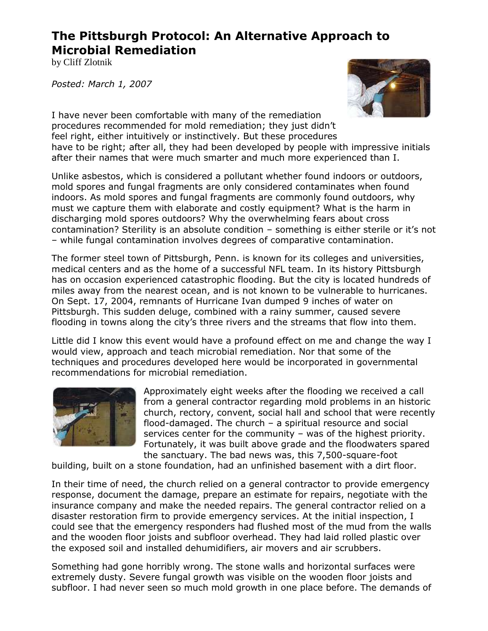# **The Pittsburgh Protocol: An Alternative Approach to Microbial Remediation**

by Cliff Zlotnik

*Posted: March 1, 2007*



I have never been comfortable with many of the remediation procedures recommended for mold remediation; they just didn't feel right, either intuitively or instinctively. But these procedures have to be right; after all, they had been developed by people with impressive initials after their names that were much smarter and much more experienced than I.

Unlike asbestos, which is considered a pollutant whether found indoors or outdoors, mold spores and fungal fragments are only considered contaminates when found indoors. As mold spores and fungal fragments are commonly found outdoors, why must we capture them with elaborate and costly equipment? What is the harm in discharging mold spores outdoors? Why the overwhelming fears about cross contamination? Sterility is an absolute condition – something is either sterile or it's not – while fungal contamination involves degrees of comparative contamination.

The former steel town of Pittsburgh, Penn. is known for its colleges and universities, medical centers and as the home of a successful NFL team. In its history Pittsburgh has on occasion experienced catastrophic flooding. But the city is located hundreds of miles away from the nearest ocean, and is not known to be vulnerable to hurricanes. On Sept. 17, 2004, remnants of Hurricane Ivan dumped 9 inches of water on Pittsburgh. This sudden deluge, combined with a rainy summer, caused severe flooding in towns along the city's three rivers and the streams that flow into them.

Little did I know this event would have a profound effect on me and change the way I would view, approach and teach microbial remediation. Nor that some of the techniques and procedures developed here would be incorporated in governmental recommendations for microbial remediation.



Approximately eight weeks after the flooding we received a call from a general contractor regarding mold problems in an historic church, rectory, convent, social hall and school that were recently flood-damaged. The church – a spiritual resource and social services center for the community – was of the highest priority. Fortunately, it was built above grade and the floodwaters spared the sanctuary. The bad news was, this 7,500-square-foot

building, built on a stone foundation, had an unfinished basement with a dirt floor.

In their time of need, the church relied on a general contractor to provide emergency response, document the damage, prepare an estimate for repairs, negotiate with the insurance company and make the needed repairs. The general contractor relied on a disaster restoration firm to provide emergency services. At the initial inspection, I could see that the emergency responders had flushed most of the mud from the walls and the wooden floor joists and subfloor overhead. They had laid rolled plastic over the exposed soil and installed dehumidifiers, air movers and air scrubbers.

Something had gone horribly wrong. The stone walls and horizontal surfaces were extremely dusty. Severe fungal growth was visible on the wooden floor joists and subfloor. I had never seen so much mold growth in one place before. The demands of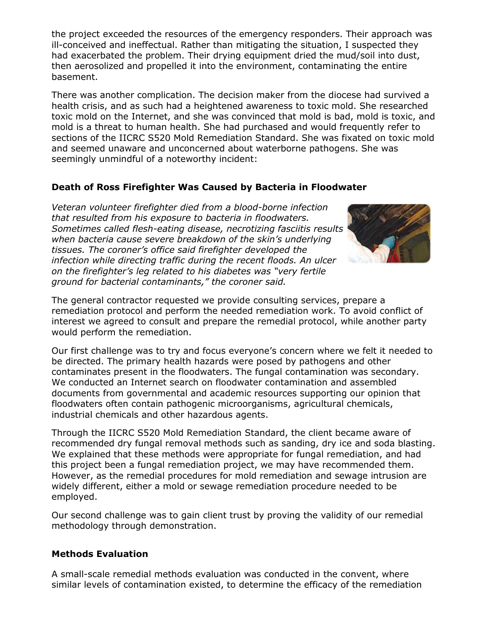the project exceeded the resources of the emergency responders. Their approach was ill-conceived and ineffectual. Rather than mitigating the situation, I suspected they had exacerbated the problem. Their drying equipment dried the mud/soil into dust, then aerosolized and propelled it into the environment, contaminating the entire basement.

There was another complication. The decision maker from the diocese had survived a health crisis, and as such had a heightened awareness to toxic mold. She researched toxic mold on the Internet, and she was convinced that mold is bad, mold is toxic, and mold is a threat to human health. She had purchased and would frequently refer to sections of the IICRC S520 Mold Remediation Standard. She was fixated on toxic mold and seemed unaware and unconcerned about waterborne pathogens. She was seemingly unmindful of a noteworthy incident:

## **Death of Ross Firefighter Was Caused by Bacteria in Floodwater**

*Veteran volunteer firefighter died from a blood-borne infection that resulted from his exposure to bacteria in floodwaters. Sometimes called flesh-eating disease, necrotizing fasciitis results when bacteria cause severe breakdown of the skin's underlying tissues. The coroner's office said firefighter developed the infection while directing traffic during the recent floods. An ulcer on the firefighter's leg related to his diabetes was "very fertile ground for bacterial contaminants," the coroner said.*



The general contractor requested we provide consulting services, prepare a remediation protocol and perform the needed remediation work. To avoid conflict of interest we agreed to consult and prepare the remedial protocol, while another party would perform the remediation.

Our first challenge was to try and focus everyone's concern where we felt it needed to be directed. The primary health hazards were posed by pathogens and other contaminates present in the floodwaters. The fungal contamination was secondary. We conducted an Internet search on floodwater contamination and assembled documents from governmental and academic resources supporting our opinion that floodwaters often contain pathogenic microorganisms, agricultural chemicals, industrial chemicals and other hazardous agents.

Through the IICRC S520 Mold Remediation Standard, the client became aware of recommended dry fungal removal methods such as sanding, dry ice and soda blasting. We explained that these methods were appropriate for fungal remediation, and had this project been a fungal remediation project, we may have recommended them. However, as the remedial procedures for mold remediation and sewage intrusion are widely different, either a mold or sewage remediation procedure needed to be employed.

Our second challenge was to gain client trust by proving the validity of our remedial methodology through demonstration.

#### **Methods Evaluation**

A small-scale remedial methods evaluation was conducted in the convent, where similar levels of contamination existed, to determine the efficacy of the remediation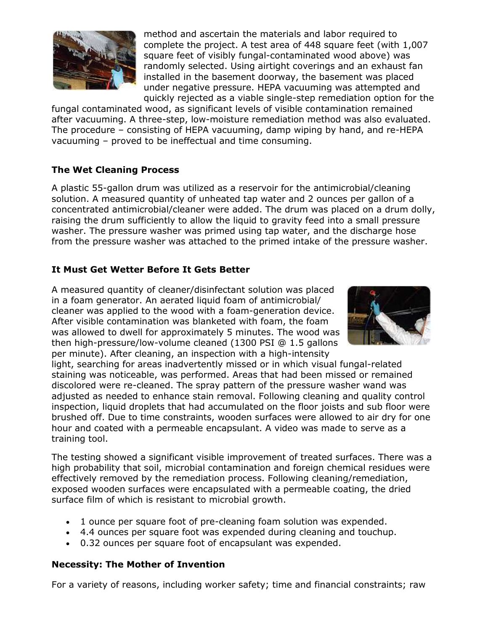

method and ascertain the materials and labor required to complete the project. A test area of 448 square feet (with 1,007 square feet of visibly fungal-contaminated wood above) was randomly selected. Using airtight coverings and an exhaust fan installed in the basement doorway, the basement was placed under negative pressure. HEPA vacuuming was attempted and quickly rejected as a viable single-step remediation option for the

fungal contaminated wood, as significant levels of visible contamination remained after vacuuming. A three-step, low-moisture remediation method was also evaluated. The procedure – consisting of HEPA vacuuming, damp wiping by hand, and re-HEPA vacuuming – proved to be ineffectual and time consuming.

# **The Wet Cleaning Process**

A plastic 55-gallon drum was utilized as a reservoir for the antimicrobial/cleaning solution. A measured quantity of unheated tap water and 2 ounces per gallon of a concentrated antimicrobial/cleaner were added. The drum was placed on a drum dolly, raising the drum sufficiently to allow the liquid to gravity feed into a small pressure washer. The pressure washer was primed using tap water, and the discharge hose from the pressure washer was attached to the primed intake of the pressure washer.

#### **It Must Get Wetter Before It Gets Better**

A measured quantity of cleaner/disinfectant solution was placed in a foam generator. An aerated liquid foam of antimicrobial/ cleaner was applied to the wood with a foam-generation device. After visible contamination was blanketed with foam, the foam was allowed to dwell for approximately 5 minutes. The wood was then high-pressure/low-volume cleaned (1300 PSI @ 1.5 gallons per minute). After cleaning, an inspection with a high-intensity



light, searching for areas inadvertently missed or in which visual fungal-related staining was noticeable, was performed. Areas that had been missed or remained discolored were re-cleaned. The spray pattern of the pressure washer wand was adjusted as needed to enhance stain removal. Following cleaning and quality control inspection, liquid droplets that had accumulated on the floor joists and sub floor were brushed off. Due to time constraints, wooden surfaces were allowed to air dry for one hour and coated with a permeable encapsulant. A video was made to serve as a training tool.

The testing showed a significant visible improvement of treated surfaces. There was a high probability that soil, microbial contamination and foreign chemical residues were effectively removed by the remediation process. Following cleaning/remediation, exposed wooden surfaces were encapsulated with a permeable coating, the dried surface film of which is resistant to microbial growth.

- 1 ounce per square foot of pre-cleaning foam solution was expended.
- 4.4 ounces per square foot was expended during cleaning and touchup.
- 0.32 ounces per square foot of encapsulant was expended.

#### **Necessity: The Mother of Invention**

For a variety of reasons, including worker safety; time and financial constraints; raw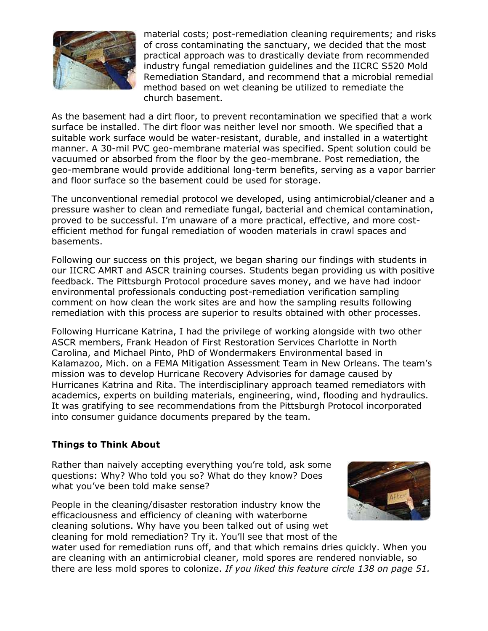

material costs; post-remediation cleaning requirements; and risks of cross contaminating the sanctuary, we decided that the most practical approach was to drastically deviate from recommended industry fungal remediation guidelines and the IICRC S520 Mold Remediation Standard, and recommend that a microbial remedial method based on wet cleaning be utilized to remediate the church basement.

As the basement had a dirt floor, to prevent recontamination we specified that a work surface be installed. The dirt floor was neither level nor smooth. We specified that a suitable work surface would be water-resistant, durable, and installed in a watertight manner. A 30-mil PVC geo-membrane material was specified. Spent solution could be vacuumed or absorbed from the floor by the geo-membrane. Post remediation, the geo-membrane would provide additional long-term benefits, serving as a vapor barrier and floor surface so the basement could be used for storage.

The unconventional remedial protocol we developed, using antimicrobial/cleaner and a pressure washer to clean and remediate fungal, bacterial and chemical contamination, proved to be successful. I'm unaware of a more practical, effective, and more costefficient method for fungal remediation of wooden materials in crawl spaces and basements.

Following our success on this project, we began sharing our findings with students in our IICRC AMRT and ASCR training courses. Students began providing us with positive feedback. The Pittsburgh Protocol procedure saves money, and we have had indoor environmental professionals conducting post-remediation verification sampling comment on how clean the work sites are and how the sampling results following remediation with this process are superior to results obtained with other processes.

Following Hurricane Katrina, I had the privilege of working alongside with two other ASCR members, Frank Headon of First Restoration Services Charlotte in North Carolina, and Michael Pinto, PhD of Wondermakers Environmental based in Kalamazoo, Mich. on a FEMA Mitigation Assessment Team in New Orleans. The team's mission was to develop Hurricane Recovery Advisories for damage caused by Hurricanes Katrina and Rita. The interdisciplinary approach teamed remediators with academics, experts on building materials, engineering, wind, flooding and hydraulics. It was gratifying to see recommendations from the Pittsburgh Protocol incorporated into consumer guidance documents prepared by the team.

#### **Things to Think About**

Rather than naively accepting everything you're told, ask some questions: Why? Who told you so? What do they know? Does what you've been told make sense?

People in the cleaning/disaster restoration industry know the efficaciousness and efficiency of cleaning with waterborne cleaning solutions. Why have you been talked out of using wet cleaning for mold remediation? Try it. You'll see that most of the



water used for remediation runs off, and that which remains dries quickly. When you are cleaning with an antimicrobial cleaner, mold spores are rendered nonviable, so there are less mold spores to colonize. *If you liked this feature circle 138 on page 51.*